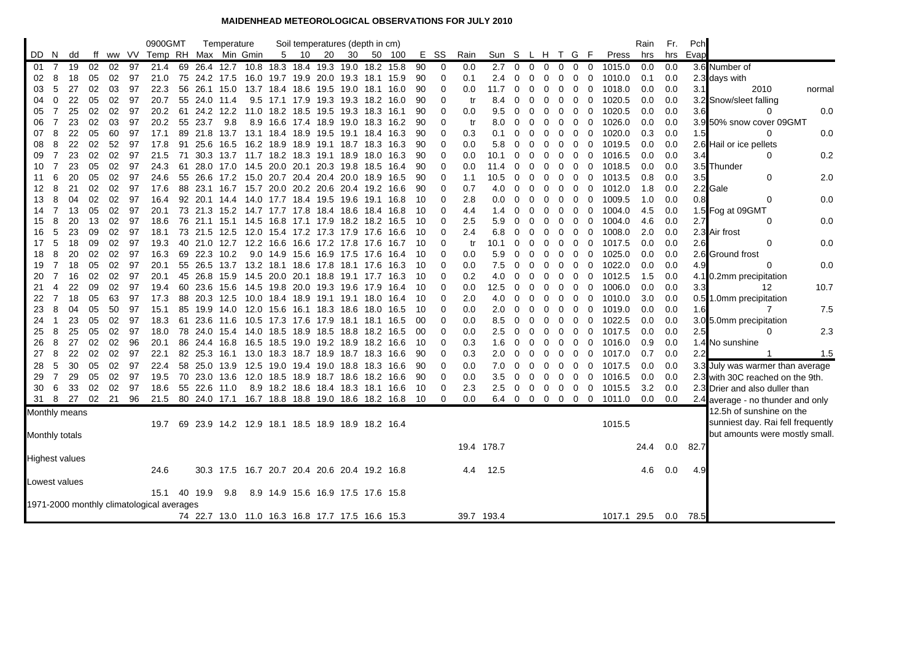## **MAIDENHEAD METEOROLOGICAL OBSERVATIONS FOR JULY 2010**

|                       |                |               |    |    |     | 0900GMT                                   |              | Temperature                                     |   | Soil temperatures (depth in cm)    |    |                |        |     |                |      |               |                         |                |                |                |                                 |                |             | Rain | Fr. | Pch        |                                   |        |
|-----------------------|----------------|---------------|----|----|-----|-------------------------------------------|--------------|-------------------------------------------------|---|------------------------------------|----|----------------|--------|-----|----------------|------|---------------|-------------------------|----------------|----------------|----------------|---------------------------------|----------------|-------------|------|-----|------------|-----------------------------------|--------|
|                       | DD N           | dd            | ff |    |     | ww VV Temp RH Max Min Gmin                |              |                                                 | 5 | 10                                 | 20 | 30             | 50 100 | Е.  | SS             | Rain | Sun S         |                         |                |                | L H T G        |                                 | - F            | Press       | hrs  | hrs | Evap       |                                   |        |
| -01                   |                | 7 19          | 02 | 02 | 97  | 21.4                                      |              | 69 26.4 12.7                                    |   | 10.8 18.3 18.4 19.3 19.0 18.2 15.8 |    |                |        | 90  | $\overline{0}$ | 0.0  | 2.7           | $\overline{0}$          | $\mathbf 0$    | $\mathbf 0$    | $\mathbf 0$    | $\mathbf 0$                     | 0              | 1015.0      | 0.0  | 0.0 |            | 3.6 Number of                     |        |
| 02                    | 8              | 18            | 05 | 02 | 97  | 21.0                                      |              | 75 24.2 17.5                                    |   | 16.0 19.7 19.9 20.0 19.3 18.1 15.9 |    |                |        | 90  | $\mathbf 0$    | 0.1  | 2.4           | 0                       | 0              | 0              | $\mathbf 0$    | $\overline{0}$                  | 0              | 1010.0      | 0.1  | 0.0 |            | 2.3 days with                     |        |
| 03                    | 5              | 27            | 02 | 03 | 97  | 22.3                                      |              | 56 26.1 15.0 13.7 18.4 18.6 19.5 19.0 18.1 16.0 |   |                                    |    |                |        | 90  | $\mathbf 0$    | 0.0  | 11.7          | 0                       | 0              | 0              | 0              | 0                               | $\mathbf 0$    | 1018.0      | 0.0  | 0.0 | 3.1        | 2010                              | normal |
| 04                    | 0              | 22            | 05 | 02 | 97  | 20.7                                      | 55 24.0 11.4 |                                                 |   | 9.5 17.1 17.9 19.3 19.3 18.2       |    |                | 16.0   | 90  | 0              | tr   | 8.4           | 0                       | 0              | 0              | 0              | 0                               | $\mathbf 0$    | 1020.5      | 0.0  | 0.0 |            | 3.2 Snow/sleet falling            |        |
| 05                    | 7              | 25            | 02 | 02 | 97  | 20.2                                      |              | 61 24.2 12.2 11.0 18.2 18.5 19.5 19.3 18.3 16.1 |   |                                    |    |                |        | 90  | 0              | 0.0  | $9.5^{\circ}$ | $\Omega$                | 0              | 0              | 0              | 0                               | 0              | 1020.5      | 0.0  | 0.0 | 3.6        | O                                 | 0.0    |
| 06                    | 7              | 23            | 02 | 03 | 97  | 20.2                                      | 55 23.7 9.8  |                                                 |   | 8.9 16.6 17.4 18.9 19.0 18.3 16.2  |    |                |        | 90  | $\Omega$       | tr   | 8.0           | 0                       | O              | 0              | 0              | 0                               | 0              | 1026.0      | 0.0  | 0.0 |            | 3.9 50% snow cover 09GMT          |        |
| 07                    | 8              | 22            | 05 | 60 | 97  | 17.1                                      |              | 89 21.8 13.7                                    |   | 13.1 18.4 18.9 19.5                |    | 19.1 18.4 16.3 |        | 90  | 0              | 0.3  | 0.1           | 0                       | 0              | 0              | 0              | 0                               | 0              | 1020.0      | 0.3  | 0.0 | 1.5        | 0                                 | 0.0    |
| 08                    | 8              | 22            | 02 | 52 | 97  | 17.8                                      |              | 91 25.6 16.5                                    |   | 16.2 18.9 18.9 19.1 18.7 18.3 16.3 |    |                |        | 90  | $\Omega$       | 0.0  | 5.8           | $\Omega$                | 0              | 0              | 0              | 0                               | $\mathbf 0$    | 1019.5      | 0.0  | 0.0 |            | 2.6 Hail or ice pellets           |        |
| 09                    | $\overline{7}$ | 23            | 02 | 02 | 97  | 21.5                                      |              | 71 30.3 13.7 11.7 18.2 18.3 19.1 18.9 18.0 16.3 |   |                                    |    |                |        | 90  | 0              | 0.0  | 10.1          | 0                       | 0              | 0              | 0              | $\mathbf 0$                     | 0              | 1016.5      | 0.0  | 0.0 | 3.4        | 0                                 | 0.2    |
| 10                    |                | 23            | 05 | 02 | 97  | 24.3                                      |              | 61 28.0 17.0 14.5 20.0 20.1 20.3 19.8 18.5 16.4 |   |                                    |    |                |        | 90  | 0              | 0.0  | 11.4          | $\Omega$                | 0              | 0              | 0              | 0                               | $\mathbf 0$    | 1018.5      | 0.0  | 0.0 |            | 3.5 Thunder                       |        |
| 11                    | 6              | 20            | 05 | 02 | 97  | 24.6                                      |              | 55 26.6 17.2 15.0 20.7 20.4 20.4                |   |                                    |    | 20.0 18.9      | 16.5   | 90  | 0              | 1.1  | 10.5          | 0                       | O              | 0              | 0              | 0                               | $\mathbf 0$    | 1013.5      | 0.8  | 0.0 | 3.5        | 0                                 | 2.0    |
| 12                    | 8              | 21            | 02 | 02 | 97  | 17.6                                      |              | 88 23.1 16.7 15.7 20.0 20.2 20.6 20.4 19.2 16.6 |   |                                    |    |                |        | 90  | $\Omega$       | 0.7  | 4.0           | 0                       | 0              | $\mathbf 0$    | $\mathbf 0$    | $\overline{0}$                  | $\mathbf 0$    | 1012.0      | 1.8  | 0.0 |            | 2.2 Gale                          |        |
| 13                    | 8              | 04            | 02 | 02 | 97  | 16.4                                      |              | 92 20.1 14.4 14.0 17.7 18.4 19.5 19.6 19.1 16.8 |   |                                    |    |                |        | 10  | 0              | 2.8  | $0.0\,$       | 0                       | 0              | 0              | 0              | 0                               | 0              | 1009.5      | 1.0  | 0.0 | 0.8        | 0                                 | 0.0    |
| 14                    | 7              | 13            | 05 | 02 | 97  | 20.1                                      |              | 73 21.3 15.2 14.7 17.7 17.8 18.4 18.6 18.4 16.8 |   |                                    |    |                |        | 10  | 0              | 4.4  | 1.4           | 0                       | 0              | 0              | 0              | 0                               | 0              | 1004.0      | 4.5  | 0.0 |            | 1.5 Fog at 09GMT                  |        |
| 15                    | 8              | 20            | 13 | 02 | 97  | 18.6                                      |              | 76 21.1 15.1 14.5 16.8 17.1 17.9                |   |                                    |    | 18.2 18.2 16.5 |        | 10  | 0              | 2.5  | 5.9           | 0                       | 0              | 0              | 0              | 0                               | $\mathbf 0$    | 1004.0      | 4.6  | 0.0 | 2.7        | 0                                 | 0.0    |
| 16                    | 5              | 23            | 09 | 02 | 97  | 18.1                                      |              | 73 21.5 12.5 12.0 15.4 17.2 17.3 17.9 17.6      |   |                                    |    |                | 16.6   | 10  | $\Omega$       | 2.4  | 6.8           | 0                       | 0              | 0              | 0              | 0                               | 0              | 1008.0      | 2.0  | 0.0 |            | 2.3 Air frost                     |        |
| 17                    | 5              | 18            | 09 | 02 | 97  | 19.3                                      |              | 40 21.0 12.7 12.2 16.6 16.6 17.2 17.8 17.6      |   |                                    |    |                | 16.7   | 10  | 0              | tr   | 10.1          | 0                       | 0              | 0              | 0              | 0                               | 0              | 1017.5      | 0.0  | 0.0 | 2.6        | 0                                 | 0.0    |
| 18                    | 8              | 20            | 02 | 02 | 97  | 16.3                                      |              | 69 22.3 10.2                                    |   | 9.0 14.9 15.6 16.9 17.5 17.6       |    |                | -16.4  | 10  | 0              | 0.0  | 5.9           | 0                       | O              | 0              | 0              | 0                               | 0              | 1025.0      | 0.0  | 0.0 |            | 2.6 Ground frost                  |        |
| 19                    | $\overline{7}$ | 18            | 05 | 02 | 97  | 20.1                                      |              | 55 26.5 13.7 13.2 18.1 18.6 17.8 18.1 17.6      |   |                                    |    |                | 16.3   | -10 | $\Omega$       | 0.0  | 7.5           | 0                       | $\Omega$       | 0              | $\mathbf 0$    | $\overline{0}$                  | 0              | 1022.0      | 0.0  | 0.0 | 4.9        | 0                                 | 0.0    |
| 20                    | 7              | 16            | 02 | 02 | 97  | 20.1                                      |              | 45 26.8 15.9 14.5 20.0 20.1 18.8 19.1 17.7 16.3 |   |                                    |    |                |        | -10 | 0              | 0.2  | 4.0           | 0                       | 0              | 0              | 0              | 0                               | 0              | 1012.5      | 1.5  | 0.0 |            | 4.1 0.2mm precipitation           |        |
| 21                    | 4              | 22            | 09 | 02 | 97  | 19.4                                      |              | 60 23.6 15.6 14.5 19.8 20.0 19.3 19.6 17.9      |   |                                    |    |                | 16.4   | 10  | 0              | 0.0  | 12.5          | 0                       | 0              | 0              | 0              | 0                               | 0              | 1006.0      | 0.0  | 0.0 | 3.3        | 12                                | 10.7   |
| 22                    | 7              | 18            | 05 | 63 | -97 | 17.3                                      |              | 88 20.3 12.5                                    |   | 10.0 18.4 18.9 19.1 19.1 18.0 16.4 |    |                |        | 10  | 0              | 2.0  | 4.0           | 0                       | 0              | 0              | 0              | $\overline{0}$                  | $\mathbf{0}$   | 1010.0      | 3.0  | 0.0 |            | 0.5 1.0mm precipitation           |        |
| 23                    | 8              | 04            | 05 | 50 | 97  | 15.1                                      |              | 85 19.9 14.0 12.0 15.6 16.1 18.3 18.6 18.0 16.5 |   |                                    |    |                |        | 10  | 0              | 0.0  | 2.0           | 0                       | 0              | 0              | 0              | 0                               | $\mathbf 0$    | 1019.0      | 0.0  | 0.0 | 1.6        | 7                                 | 7.5    |
| 24                    | $\mathbf{1}$   | 23            | 05 | 02 | 97  | 18.3                                      |              | 61 23.6 11.6                                    |   | 10.5 17.3 17.6 17.9                |    | 18.1 18.1 16.5 |        | 00  | 0              | 0.0  | 8.5           | 0                       | 0              | 0              | 0              | 0                               | $\mathbf 0$    | 1022.5      | 0.0  | 0.0 |            | 3.0 5.0mm precipitation           |        |
| 25                    | 8              | 25            | 05 | 02 | 97  | 18.0                                      |              | 78 24.0 15.4                                    |   | 14.0 18.5 18.9 18.5 18.8 18.2 16.5 |    |                |        | 00  | 0              | 0.0  | $2.5^{\circ}$ | $\overline{\mathbf{0}}$ | 0              | 0              | $\mathbf 0$    | $\mathbf 0$                     | $\mathbf 0$    | 1017.5      | 0.0  | 0.0 | 2.5        | 0                                 | 2.3    |
| 26                    | 8              | 27            | 02 | 02 | 96  | 20.1                                      |              | 86 24.4 16.8 16.5 18.5 19.0 19.2 18.9 18.2 16.6 |   |                                    |    |                |        | -10 | $\Omega$       | 0.3  | 1.6           | $\mathbf{0}$            | 0              | 0              | $\mathbf 0$    | $\mathbf 0$                     | $\overline{0}$ | 1016.0      | 0.9  | 0.0 |            | 1.4 No sunshine                   |        |
| 27                    | 8              | 22            | 02 | 02 | 97  | 22.1                                      |              | 82 25.3 16.1                                    |   | 13.0 18.3 18.7 18.9 18.7 18.3 16.6 |    |                |        | 90  | 0              | 0.3  | 2.0           | 0                       | $\overline{0}$ | 0              | 0              | $\mathbf 0$                     | $\mathbf 0$    | 1017.0      | 0.7  | 0.0 | 2.2        |                                   | 1.5    |
| 28                    | 5              | 30            | 05 | 02 | 97  | 22.4                                      |              | 58 25.0 13.9                                    |   | 12.5 19.0 19.4 19.0                |    | 18.8 18.3      | 16.6   | 90  | 0              | 0.0  | 7.0           | 0                       | 0              | 0              | 0              | 0                               | 0              | 1017.5      | 0.0  | 0.0 |            | 3.3 July was warmer than average  |        |
| 29                    | $\overline{7}$ | 29            | 05 | 02 | 97  | 19.5                                      |              | 70 23.0 13.6                                    |   | 12.0 18.5 18.9 18.7 18.6 18.2 16.6 |    |                |        | 90  | 0              | 0.0  | 3.5           | $\mathbf 0$             | 0              | 0              | $\mathbf 0$    | $\overline{0}$                  | $\mathbf 0$    | 1016.5      | 0.0  | 0.0 |            | 2.3 with 30C reached on the 9th.  |        |
| 30                    | 6              | 33            | 02 | 02 | 97  | 18.6                                      | 55 22.6 11.0 |                                                 |   | 8.9 18.2 18.6 18.4 18.3 18.1 16.6  |    |                |        | 10  | 0              | 2.3  | 2.5           | $\mathbf{0}$            | $\overline{0}$ | $\overline{0}$ | $\overline{0}$ | $\overline{0}$                  | $\overline{0}$ | 1015.5      | 3.2  | 0.0 |            | 2.3 Drier and also duller than    |        |
| 31                    | 8              | 27            | 02 | 21 | 96  | 21.5                                      | 80 24.0 17.1 |                                                 |   | 16.7 18.8 18.8 19.0 18.6 18.2 16.8 |    |                |        | 10  | 0              | 0.0  | 6.4 0         |                         |                |                |                | $0\quad 0\quad 0\quad 0\quad 0$ |                | 1011.0      | 0.0  | 0.0 |            | 2.4 average - no thunder and only |        |
|                       |                | Monthly means |    |    |     |                                           |              |                                                 |   |                                    |    |                |        |     |                |      |               |                         |                |                |                |                                 |                |             |      |     |            | 12.5h of sunshine on the          |        |
|                       |                |               |    |    |     | 19.7                                      |              | 69 23.9 14.2 12.9 18.1 18.5 18.9 18.9 18.2 16.4 |   |                                    |    |                |        |     |                |      |               |                         |                |                |                |                                 |                | 1015.5      |      |     |            | sunniest day. Rai fell frequently |        |
| Monthly totals        |                |               |    |    |     |                                           |              |                                                 |   |                                    |    |                |        |     |                |      |               |                         |                |                |                |                                 |                |             |      |     |            | but amounts were mostly small.    |        |
|                       |                |               |    |    |     |                                           |              |                                                 |   |                                    |    |                |        |     |                |      | 19.4 178.7    |                         |                |                |                |                                 |                |             | 24.4 | 0.0 | 82.7       |                                   |        |
| <b>Highest values</b> |                |               |    |    |     |                                           |              |                                                 |   |                                    |    |                |        |     |                |      |               |                         |                |                |                |                                 |                |             |      |     |            |                                   |        |
|                       |                |               |    |    |     | 24.6                                      |              | 30.3 17.5 16.7 20.7 20.4 20.6 20.4 19.2 16.8    |   |                                    |    |                |        |     |                | 4.4  | 12.5          |                         |                |                |                |                                 |                |             | 4.6  | 0.0 | 4.9        |                                   |        |
|                       |                | Lowest values |    |    |     |                                           |              |                                                 |   |                                    |    |                |        |     |                |      |               |                         |                |                |                |                                 |                |             |      |     |            |                                   |        |
|                       |                |               |    |    |     | 15.1                                      | 40 19.9      | 9.8                                             |   | 8.9 14.9 15.6 16.9 17.5 17.6 15.8  |    |                |        |     |                |      |               |                         |                |                |                |                                 |                |             |      |     |            |                                   |        |
|                       |                |               |    |    |     | 1971-2000 monthly climatological averages |              |                                                 |   |                                    |    |                |        |     |                |      |               |                         |                |                |                |                                 |                |             |      |     |            |                                   |        |
|                       |                |               |    |    |     |                                           |              |                                                 |   |                                    |    |                |        |     |                |      | 39.7 193.4    |                         |                |                |                |                                 |                | 1017.1 29.5 |      |     | $0.0$ 78.5 |                                   |        |
|                       |                |               |    |    |     |                                           |              | 74 22.7 13.0 11.0 16.3 16.8 17.7 17.5 16.6 15.3 |   |                                    |    |                |        |     |                |      |               |                         |                |                |                |                                 |                |             |      |     |            |                                   |        |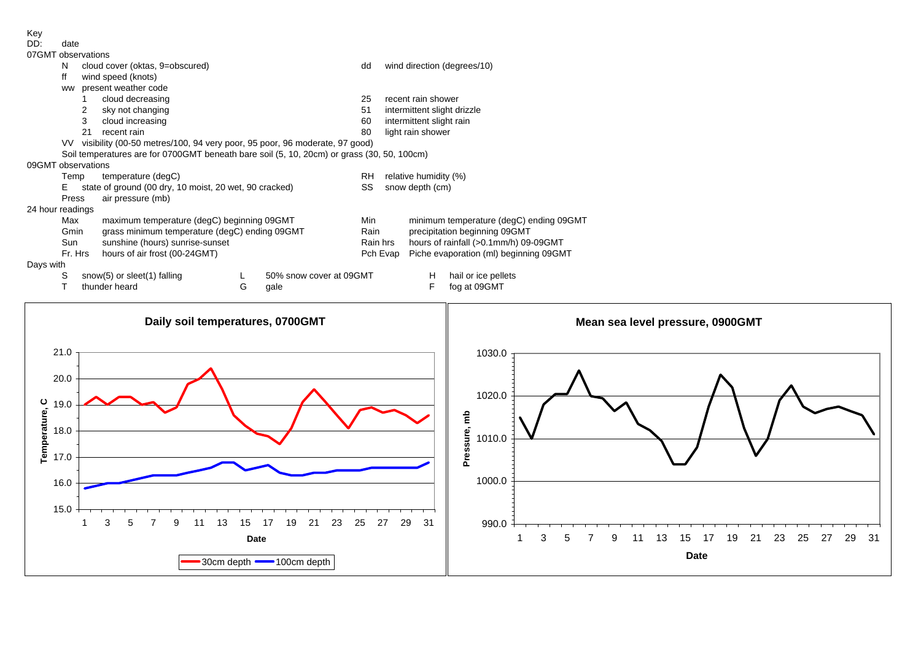Key

| DD: |      |
|-----|------|
|     | date |
|     |      |
|     |      |

| :נונו | date              |
|-------|-------------------|
|       | 07GMT observation |

| <u>U/GMI</u> observations |                                                                                            |                                                                            |                                                        |   |                         |           |                             |                                         |  |  |  |  |  |  |
|---------------------------|--------------------------------------------------------------------------------------------|----------------------------------------------------------------------------|--------------------------------------------------------|---|-------------------------|-----------|-----------------------------|-----------------------------------------|--|--|--|--|--|--|
|                           | N                                                                                          |                                                                            | cloud cover (oktas, 9=obscured)                        |   |                         | dd        |                             | wind direction (degrees/10)             |  |  |  |  |  |  |
|                           | ff                                                                                         |                                                                            | wind speed (knots)                                     |   |                         |           |                             |                                         |  |  |  |  |  |  |
|                           | ww                                                                                         | present weather code                                                       |                                                        |   |                         |           |                             |                                         |  |  |  |  |  |  |
|                           |                                                                                            |                                                                            | cloud decreasing                                       |   |                         | 25        | recent rain shower          |                                         |  |  |  |  |  |  |
|                           |                                                                                            | 2                                                                          | sky not changing                                       |   |                         | 51        | intermittent slight drizzle |                                         |  |  |  |  |  |  |
|                           |                                                                                            | 3                                                                          | cloud increasing                                       |   |                         | 60        | intermittent slight rain    |                                         |  |  |  |  |  |  |
|                           |                                                                                            | 21                                                                         | recent rain                                            |   |                         | 80        | light rain shower           |                                         |  |  |  |  |  |  |
|                           | VV.                                                                                        | visibility (00-50 metres/100, 94 very poor, 95 poor, 96 moderate, 97 good) |                                                        |   |                         |           |                             |                                         |  |  |  |  |  |  |
|                           | Soil temperatures are for 0700GMT beneath bare soil (5, 10, 20cm) or grass (30, 50, 100cm) |                                                                            |                                                        |   |                         |           |                             |                                         |  |  |  |  |  |  |
|                           | 09GMT observations                                                                         |                                                                            |                                                        |   |                         |           |                             |                                         |  |  |  |  |  |  |
|                           | Temp                                                                                       |                                                                            | temperature (degC)                                     |   |                         | <b>RH</b> | relative humidity (%)       |                                         |  |  |  |  |  |  |
|                           | Е                                                                                          |                                                                            | state of ground (00 dry, 10 moist, 20 wet, 90 cracked) |   |                         | SS        | snow depth (cm)             |                                         |  |  |  |  |  |  |
|                           | Press                                                                                      |                                                                            | air pressure (mb)                                      |   |                         |           |                             |                                         |  |  |  |  |  |  |
| 24 hour readings          |                                                                                            |                                                                            |                                                        |   |                         |           |                             |                                         |  |  |  |  |  |  |
|                           | Max                                                                                        |                                                                            | maximum temperature (degC) beginning 09GMT             |   |                         | Min       |                             | minimum temperature (degC) ending 09GMT |  |  |  |  |  |  |
|                           | Gmin                                                                                       |                                                                            | grass minimum temperature (degC) ending 09GMT          |   |                         | Rain      |                             | precipitation beginning 09GMT           |  |  |  |  |  |  |
|                           | Sun                                                                                        | sunshine (hours) sunrise-sunset                                            |                                                        |   |                         | Rain hrs  |                             | hours of rainfall (>0.1mm/h) 09-09GMT   |  |  |  |  |  |  |
|                           | Fr. Hrs                                                                                    |                                                                            | hours of air frost (00-24GMT)                          |   |                         |           | Pch Evap                    | Piche evaporation (ml) beginning 09GMT  |  |  |  |  |  |  |
| Days with                 |                                                                                            |                                                                            |                                                        |   |                         |           |                             |                                         |  |  |  |  |  |  |
|                           | S                                                                                          |                                                                            | snow(5) or sleet(1) falling                            |   | 50% snow cover at 09GMT |           | н                           | hail or ice pellets                     |  |  |  |  |  |  |
|                           |                                                                                            |                                                                            | thunder heard                                          | G | gale                    |           | F                           | fog at 09GMT                            |  |  |  |  |  |  |

## Da